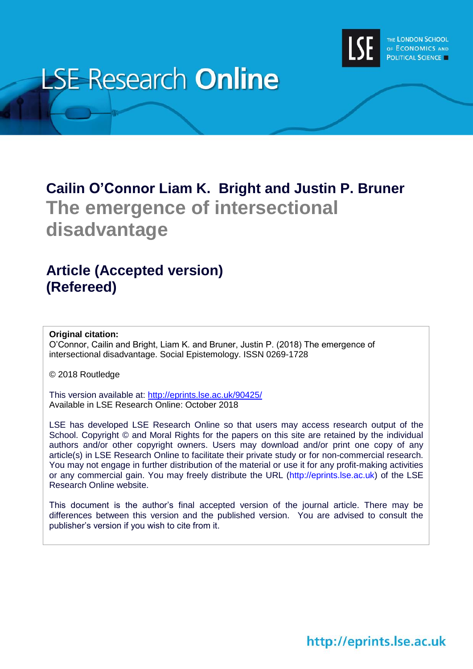

# **LSE Research Online**

# **Cailin O'Connor Liam K. Bright and Justin P. Bruner The emergence of intersectional disadvantage**

# **Article (Accepted version) (Refereed)**

## **Original citation:**

O'Connor, Cailin and Bright, Liam K. and Bruner, Justin P. (2018) The emergence of intersectional disadvantage. Social Epistemology. ISSN 0269-1728

© 2018 Routledge

This version available at:<http://eprints.lse.ac.uk/90425/> Available in LSE Research Online: October 2018

LSE has developed LSE Research Online so that users may access research output of the School. Copyright © and Moral Rights for the papers on this site are retained by the individual authors and/or other copyright owners. Users may download and/or print one copy of any article(s) in LSE Research Online to facilitate their private study or for non-commercial research. You may not engage in further distribution of the material or use it for any profit-making activities or any commercial gain. You may freely distribute the URL (http://eprints.lse.ac.uk) of the LSE Research Online website.

This document is the author's final accepted version of the journal article. There may be differences between this version and the published version. You are advised to consult the publisher's version if you wish to cite from it.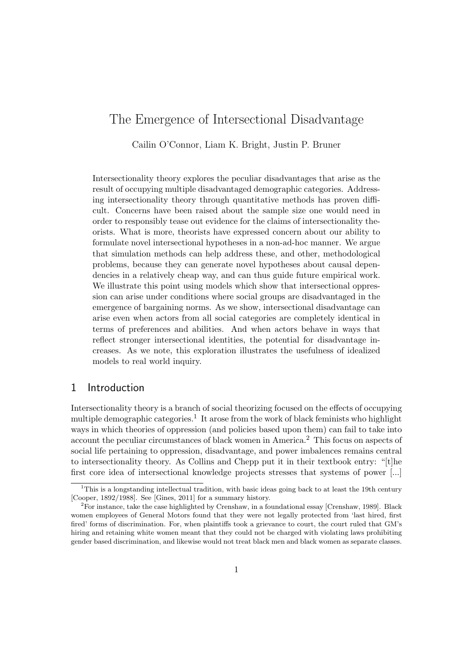# The Emergence of Intersectional Disadvantage

Cailin O'Connor, Liam K. Bright, Justin P. Bruner

Intersectionality theory explores the peculiar disadvantages that arise as the result of occupying multiple disadvantaged demographic categories. Addressing intersectionality theory through quantitative methods has proven difficult. Concerns have been raised about the sample size one would need in order to responsibly tease out evidence for the claims of intersectionality theorists. What is more, theorists have expressed concern about our ability to formulate novel intersectional hypotheses in a non-ad-hoc manner. We argue that simulation methods can help address these, and other, methodological problems, because they can generate novel hypotheses about causal dependencies in a relatively cheap way, and can thus guide future empirical work. We illustrate this point using models which show that intersectional oppression can arise under conditions where social groups are disadvantaged in the emergence of bargaining norms. As we show, intersectional disadvantage can arise even when actors from all social categories are completely identical in terms of preferences and abilities. And when actors behave in ways that reflect stronger intersectional identities, the potential for disadvantage increases. As we note, this exploration illustrates the usefulness of idealized models to real world inquiry.

## 1 Introduction

Intersectionality theory is a branch of social theorizing focused on the effects of occupying multiple demographic categories.<sup>1</sup> It arose from the work of black feminists who highlight ways in which theories of oppression (and policies based upon them) can fail to take into account the peculiar circumstances of black women in America.<sup>2</sup> This focus on aspects of social life pertaining to oppression, disadvantage, and power imbalences remains central to intersectionality theory. As Collins and Chepp put it in their textbook entry: "[t]he first core idea of intersectional knowledge projects stresses that systems of power [...]

 $1$ This is a longstanding intellectual tradition, with basic ideas going back to at least the 19th century [Cooper, 1892/1988]. See [Gines, 2011] for a summary history.

<sup>2</sup>For instance, take the case highlighted by Crenshaw, in a foundational essay [Crenshaw, 1989]. Black women employees of General Motors found that they were not legally protected from 'last hired, first fired' forms of discrimination. For, when plaintiffs took a grievance to court, the court ruled that GM's hiring and retaining white women meant that they could not be charged with violating laws prohibiting gender based discrimination, and likewise would not treat black men and black women as separate classes.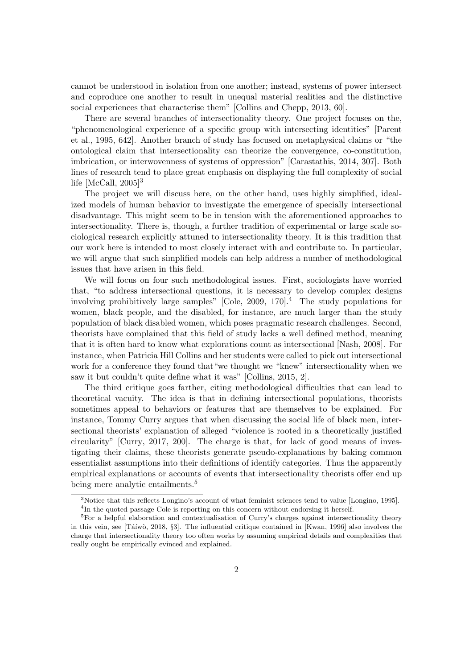cannot be understood in isolation from one another; instead, systems of power intersect and coproduce one another to result in unequal material realities and the distinctive social experiences that characterise them" [Collins and Chepp, 2013, 60].

There are several branches of intersectionality theory. One project focuses on the, "phenomenological experience of a specific group with intersecting identities" [Parent et al., 1995, 642]. Another branch of study has focused on metaphysical claims or "the ontological claim that intersectionality can theorize the convergence, co-constitution, imbrication, or interwovenness of systems of oppression" [Carastathis, 2014, 307]. Both lines of research tend to place great emphasis on displaying the full complexity of social life [McCall,  $2005$ ]<sup>3</sup>

The project we will discuss here, on the other hand, uses highly simplified, idealized models of human behavior to investigate the emergence of specially intersectional disadvantage. This might seem to be in tension with the aforementioned approaches to intersectionality. There is, though, a further tradition of experimental or large scale sociological research explicitly attuned to intersectionality theory. It is this tradition that our work here is intended to most closely interact with and contribute to. In particular, we will argue that such simplified models can help address a number of methodological issues that have arisen in this field.

We will focus on four such methodological issues. First, sociologists have worried that, "to address intersectional questions, it is necessary to develop complex designs involving prohibitively large samples"  $[Cole, 2009, 170]$ <sup>4</sup>. The study populations for women, black people, and the disabled, for instance, are much larger than the study population of black disabled women, which poses pragmatic research challenges. Second, theorists have complained that this field of study lacks a well defined method, meaning that it is often hard to know what explorations count as intersectional [Nash, 2008]. For instance, when Patricia Hill Collins and her students were called to pick out intersectional work for a conference they found that"we thought we "knew" intersectionality when we saw it but couldn't quite define what it was" [Collins, 2015, 2].

The third critique goes farther, citing methodological difficulties that can lead to theoretical vacuity. The idea is that in defining intersectional populations, theorists sometimes appeal to behaviors or features that are themselves to be explained. For instance, Tommy Curry argues that when discussing the social life of black men, intersectional theorists' explanation of alleged "violence is rooted in a theoretically justified circularity" [Curry, 2017, 200]. The charge is that, for lack of good means of investigating their claims, these theorists generate pseudo-explanations by baking common essentialist assumptions into their definitions of identify categories. Thus the apparently empirical explanations or accounts of events that intersectionality theorists offer end up being mere analytic entailments.<sup>5</sup>

<sup>3</sup>Notice that this reflects Longino's account of what feminist sciences tend to value [Longino, 1995]. <sup>4</sup>In the quoted passage Cole is reporting on this concern without endorsing it herself.

<sup>&</sup>lt;sup>5</sup>For a helpful elaboration and contextualisation of Curry's charges against intersectionality theory in this vein, see [Táíwò, 2018, §3]. The influential critique contained in [Kwan, 1996] also involves the charge that intersectionality theory too often works by assuming empirical details and complexities that really ought be empirically evinced and explained.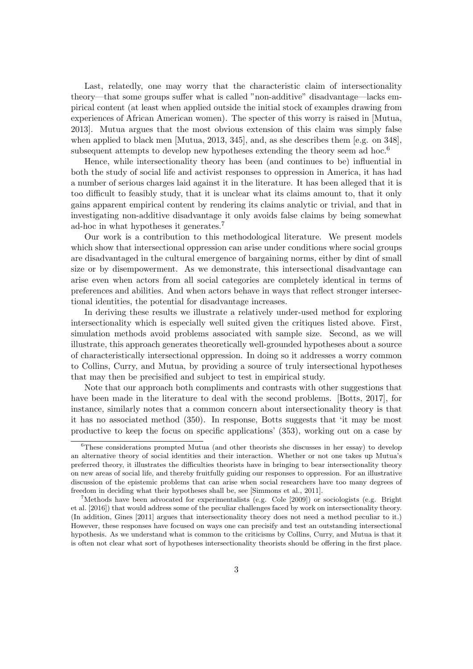Last, relatedly, one may worry that the characteristic claim of intersectionality theory—that some groups suffer what is called "non-additive" disadvantage—lacks empirical content (at least when applied outside the initial stock of examples drawing from experiences of African American women). The specter of this worry is raised in [Mutua, 2013]. Mutua argues that the most obvious extension of this claim was simply false when applied to black men [Mutua, 2013, 345], and, as she describes them [e.g. on 348], subsequent attempts to develop new hypotheses extending the theory seem ad hoc.<sup>6</sup>

Hence, while intersectionality theory has been (and continues to be) influential in both the study of social life and activist responses to oppression in America, it has had a number of serious charges laid against it in the literature. It has been alleged that it is too difficult to feasibly study, that it is unclear what its claims amount to, that it only gains apparent empirical content by rendering its claims analytic or trivial, and that in investigating non-additive disadvantage it only avoids false claims by being somewhat ad-hoc in what hypotheses it generates.<sup>7</sup>

Our work is a contribution to this methodological literature. We present models which show that intersectional oppression can arise under conditions where social groups are disadvantaged in the cultural emergence of bargaining norms, either by dint of small size or by disempowerment. As we demonstrate, this intersectional disadvantage can arise even when actors from all social categories are completely identical in terms of preferences and abilities. And when actors behave in ways that reflect stronger intersectional identities, the potential for disadvantage increases.

In deriving these results we illustrate a relatively under-used method for exploring intersectionality which is especially well suited given the critiques listed above. First, simulation methods avoid problems associated with sample size. Second, as we will illustrate, this approach generates theoretically well-grounded hypotheses about a source of characteristically intersectional oppression. In doing so it addresses a worry common to Collins, Curry, and Mutua, by providing a source of truly intersectional hypotheses that may then be precisified and subject to test in empirical study.

Note that our approach both compliments and contrasts with other suggestions that have been made in the literature to deal with the second problems. [Botts, 2017], for instance, similarly notes that a common concern about intersectionality theory is that it has no associated method (350). In response, Botts suggests that 'it may be most productive to keep the focus on specific applications' (353), working out on a case by

 ${}^{6}$ These considerations prompted Mutua (and other theorists she discusses in her essay) to develop an alternative theory of social identities and their interaction. Whether or not one takes up Mutua's preferred theory, it illustrates the difficulties theorists have in bringing to bear intersectionality theory on new areas of social life, and thereby fruitfully guiding our responses to oppression. For an illustrative discussion of the epistemic problems that can arise when social researchers have too many degrees of freedom in deciding what their hypotheses shall be, see [Simmons et al., 2011].

<sup>7</sup>Methods have been advocated for experimentalists (e.g. Cole [2009]) or sociologists (e.g. Bright et al. [2016]) that would address some of the peculiar challenges faced by work on intersectionality theory. (In addition, Gines [2011] argues that intersectionality theory does not need a method peculiar to it.) However, these responses have focused on ways one can precisify and test an outstanding intersectional hypothesis. As we understand what is common to the criticisms by Collins, Curry, and Mutua is that it is often not clear what sort of hypotheses intersectionality theorists should be offering in the first place.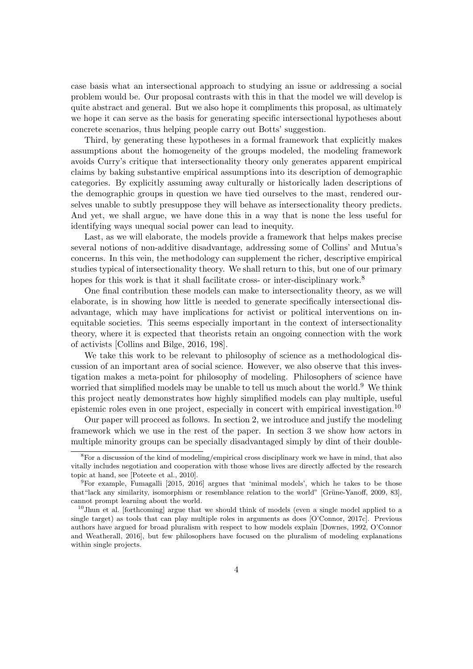case basis what an intersectional approach to studying an issue or addressing a social problem would be. Our proposal contrasts with this in that the model we will develop is quite abstract and general. But we also hope it compliments this proposal, as ultimately we hope it can serve as the basis for generating specific intersectional hypotheses about concrete scenarios, thus helping people carry out Botts' suggestion.

Third, by generating these hypotheses in a formal framework that explicitly makes assumptions about the homogeneity of the groups modeled, the modeling framework avoids Curry's critique that intersectionality theory only generates apparent empirical claims by baking substantive empirical assumptions into its description of demographic categories. By explicitly assuming away culturally or historically laden descriptions of the demographic groups in question we have tied ourselves to the mast, rendered ourselves unable to subtly presuppose they will behave as intersectionality theory predicts. And yet, we shall argue, we have done this in a way that is none the less useful for identifying ways unequal social power can lead to inequity.

Last, as we will elaborate, the models provide a framework that helps makes precise several notions of non-additive disadvantage, addressing some of Collins' and Mutua's concerns. In this vein, the methodology can supplement the richer, descriptive empirical studies typical of intersectionality theory. We shall return to this, but one of our primary hopes for this work is that it shall facilitate cross- or inter-disciplinary work.<sup>8</sup>

One final contribution these models can make to intersectionality theory, as we will elaborate, is in showing how little is needed to generate specifically intersectional disadvantage, which may have implications for activist or political interventions on inequitable societies. This seems especially important in the context of intersectionality theory, where it is expected that theorists retain an ongoing connection with the work of activists [Collins and Bilge, 2016, 198].

We take this work to be relevant to philosophy of science as a methodological discussion of an important area of social science. However, we also observe that this investigation makes a meta-point for philosophy of modeling. Philosophers of science have worried that simplified models may be unable to tell us much about the world.<sup>9</sup> We think this project neatly demonstrates how highly simplified models can play multiple, useful epistemic roles even in one project, especially in concert with empirical investigation.<sup>10</sup>

Our paper will proceed as follows. In section 2, we introduce and justify the modeling framework which we use in the rest of the paper. In section 3 we show how actors in multiple minority groups can be specially disadvantaged simply by dint of their double-

<sup>8</sup>For a discussion of the kind of modeling/empirical cross disciplinary work we have in mind, that also vitally includes negotiation and cooperation with those whose lives are directly affected by the research topic at hand, see [Poteete et al., 2010].

<sup>9</sup>For example, Fumagalli [2015, 2016] argues that 'minimal models', which he takes to be those that "lack any similarity, isomorphism or resemblance relation to the world" [Grüne-Yanoff, 2009, 83], cannot prompt learning about the world.

 $10$ Jhun et al. [forthcoming] argue that we should think of models (even a single model applied to a single target) as tools that can play multiple roles in arguments as does [O'Connor, 2017c]. Previous authors have argued for broad pluralism with respect to how models explain [Downes, 1992, O'Connor and Weatherall, 2016], but few philosophers have focused on the pluralism of modeling explanations within single projects.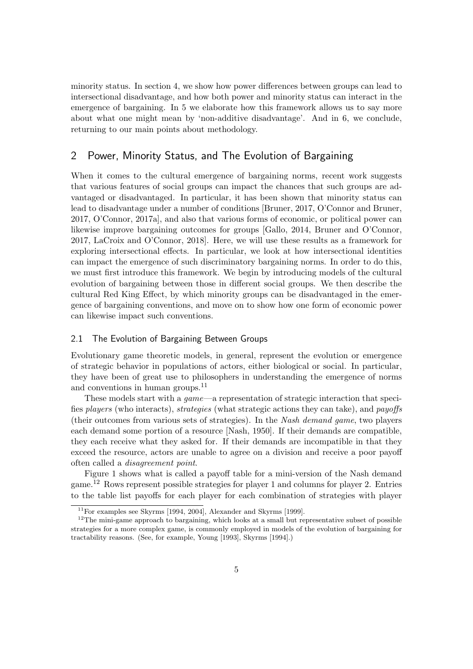minority status. In section 4, we show how power differences between groups can lead to intersectional disadvantage, and how both power and minority status can interact in the emergence of bargaining. In 5 we elaborate how this framework allows us to say more about what one might mean by 'non-additive disadvantage'. And in 6, we conclude, returning to our main points about methodology.

# 2 Power, Minority Status, and The Evolution of Bargaining

When it comes to the cultural emergence of bargaining norms, recent work suggests that various features of social groups can impact the chances that such groups are advantaged or disadvantaged. In particular, it has been shown that minority status can lead to disadvantage under a number of conditions [Bruner, 2017, O'Connor and Bruner, 2017, O'Connor, 2017a], and also that various forms of economic, or political power can likewise improve bargaining outcomes for groups [Gallo, 2014, Bruner and O'Connor, 2017, LaCroix and O'Connor, 2018]. Here, we will use these results as a framework for exploring intersectional effects. In particular, we look at how intersectional identities can impact the emergence of such discriminatory bargaining norms. In order to do this, we must first introduce this framework. We begin by introducing models of the cultural evolution of bargaining between those in different social groups. We then describe the cultural Red King Effect, by which minority groups can be disadvantaged in the emergence of bargaining conventions, and move on to show how one form of economic power can likewise impact such conventions.

#### 2.1 The Evolution of Bargaining Between Groups

Evolutionary game theoretic models, in general, represent the evolution or emergence of strategic behavior in populations of actors, either biological or social. In particular, they have been of great use to philosophers in understanding the emergence of norms and conventions in human groups.<sup>11</sup>

These models start with a *game*—a representation of strategic interaction that specifies players (who interacts), strategies (what strategic actions they can take), and payoffs (their outcomes from various sets of strategies). In the Nash demand game, two players each demand some portion of a resource [Nash, 1950]. If their demands are compatible, they each receive what they asked for. If their demands are incompatible in that they exceed the resource, actors are unable to agree on a division and receive a poor payoff often called a disagreement point.

Figure 1 shows what is called a payoff table for a mini-version of the Nash demand game.<sup>12</sup> Rows represent possible strategies for player 1 and columns for player 2. Entries to the table list payoffs for each player for each combination of strategies with player

 $11$ For examples see Skyrms [1994, 2004], Alexander and Skyrms [1999].

 $12$ The mini-game approach to bargaining, which looks at a small but representative subset of possible strategies for a more complex game, is commonly employed in models of the evolution of bargaining for tractability reasons. (See, for example, Young [1993], Skyrms [1994].)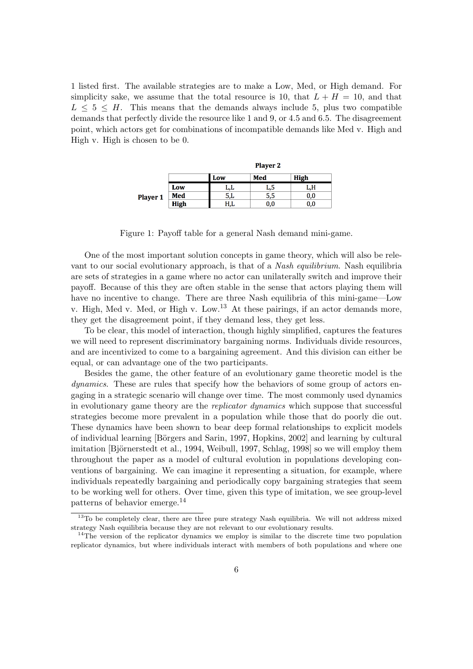1 listed first. The available strategies are to make a Low, Med, or High demand. For simplicity sake, we assume that the total resource is 10, that  $L + H = 10$ , and that  $L \leq 5 \leq H$ . This means that the demands always include 5, plus two compatible demands that perfectly divide the resource like 1 and 9, or 4.5 and 6.5. The disagreement point, which actors get for combinations of incompatible demands like Med v. High and High v. High is chosen to be 0.

|                 |             | <b>Player 2</b> |     |             |  |  |
|-----------------|-------------|-----------------|-----|-------------|--|--|
|                 |             | Low             | Med | <b>High</b> |  |  |
| <b>Player 1</b> | Low         | ىلەك            | L,5 | L,H         |  |  |
|                 | Med         | 5,L             | 5.5 | 0.0         |  |  |
|                 | <b>High</b> | H,L             | 0,0 | 0,0         |  |  |

Figure 1: Payoff table for a general Nash demand mini-game.

One of the most important solution concepts in game theory, which will also be relevant to our social evolutionary approach, is that of a *Nash equilibrium*. Nash equilibria are sets of strategies in a game where no actor can unilaterally switch and improve their payoff. Because of this they are often stable in the sense that actors playing them will have no incentive to change. There are three Nash equilibria of this mini-game—Low v. High, Med v. Med, or High v. Low.<sup>13</sup> At these pairings, if an actor demands more, they get the disagreement point, if they demand less, they get less.

To be clear, this model of interaction, though highly simplified, captures the features we will need to represent discriminatory bargaining norms. Individuals divide resources, and are incentivized to come to a bargaining agreement. And this division can either be equal, or can advantage one of the two participants.

Besides the game, the other feature of an evolutionary game theoretic model is the dynamics. These are rules that specify how the behaviors of some group of actors engaging in a strategic scenario will change over time. The most commonly used dynamics in evolutionary game theory are the *replicator dynamics* which suppose that successful strategies become more prevalent in a population while those that do poorly die out. These dynamics have been shown to bear deep formal relationships to explicit models of individual learning [Börgers and Sarin, 1997, Hopkins, 2002] and learning by cultural imitation [Björnerstedt et al., 1994, Weibull, 1997, Schlag, 1998] so we will employ them throughout the paper as a model of cultural evolution in populations developing conventions of bargaining. We can imagine it representing a situation, for example, where individuals repeatedly bargaining and periodically copy bargaining strategies that seem to be working well for others. Over time, given this type of imitation, we see group-level patterns of behavior emerge.<sup>14</sup>

 $13$ To be completely clear, there are three pure strategy Nash equilibria. We will not address mixed strategy Nash equilibria because they are not relevant to our evolutionary results.

<sup>&</sup>lt;sup>14</sup>The version of the replicator dynamics we employ is similar to the discrete time two population replicator dynamics, but where individuals interact with members of both populations and where one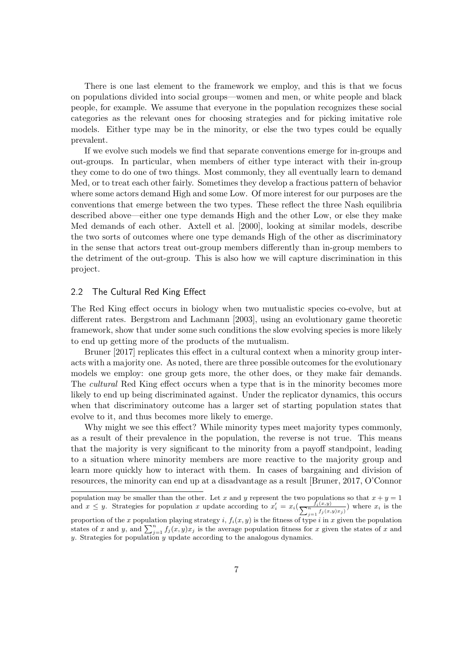There is one last element to the framework we employ, and this is that we focus on populations divided into social groups—women and men, or white people and black people, for example. We assume that everyone in the population recognizes these social categories as the relevant ones for choosing strategies and for picking imitative role models. Either type may be in the minority, or else the two types could be equally prevalent.

If we evolve such models we find that separate conventions emerge for in-groups and out-groups. In particular, when members of either type interact with their in-group they come to do one of two things. Most commonly, they all eventually learn to demand Med, or to treat each other fairly. Sometimes they develop a fractious pattern of behavior where some actors demand High and some Low. Of more interest for our purposes are the conventions that emerge between the two types. These reflect the three Nash equilibria described above—either one type demands High and the other Low, or else they make Med demands of each other. Axtell et al. [2000], looking at similar models, describe the two sorts of outcomes where one type demands High of the other as discriminatory in the sense that actors treat out-group members differently than in-group members to the detriment of the out-group. This is also how we will capture discrimination in this project.

#### 2.2 The Cultural Red King Effect

The Red King effect occurs in biology when two mutualistic species co-evolve, but at different rates. Bergstrom and Lachmann [2003], using an evolutionary game theoretic framework, show that under some such conditions the slow evolving species is more likely to end up getting more of the products of the mutualism.

Bruner [2017] replicates this effect in a cultural context when a minority group interacts with a majority one. As noted, there are three possible outcomes for the evolutionary models we employ: one group gets more, the other does, or they make fair demands. The cultural Red King effect occurs when a type that is in the minority becomes more likely to end up being discriminated against. Under the replicator dynamics, this occurs when that discriminatory outcome has a larger set of starting population states that evolve to it, and thus becomes more likely to emerge.

Why might we see this effect? While minority types meet majority types commonly, as a result of their prevalence in the population, the reverse is not true. This means that the majority is very significant to the minority from a payoff standpoint, leading to a situation where minority members are more reactive to the majority group and learn more quickly how to interact with them. In cases of bargaining and division of resources, the minority can end up at a disadvantage as a result [Bruner, 2017, O'Connor

population may be smaller than the other. Let x and y represent the two populations so that  $x + y = 1$ and  $x \leq y$ . Strategies for population x update according to  $x'_{i} = x_{i} \left( \frac{f_{i}(x,y)}{\sum_{j=1}^{n} f_{j}(x,y)x_{j}} \right)$  where  $x_{i}$  is the

proportion of the x population playing strategy i,  $f_i(x, y)$  is the fitness of type i in x given the population states of x and y, and  $\sum_{j=1}^{n} f_j(x, y)x_j$  is the average population fitness for x given the states of x and y. Strategies for population y update according to the analogous dynamics.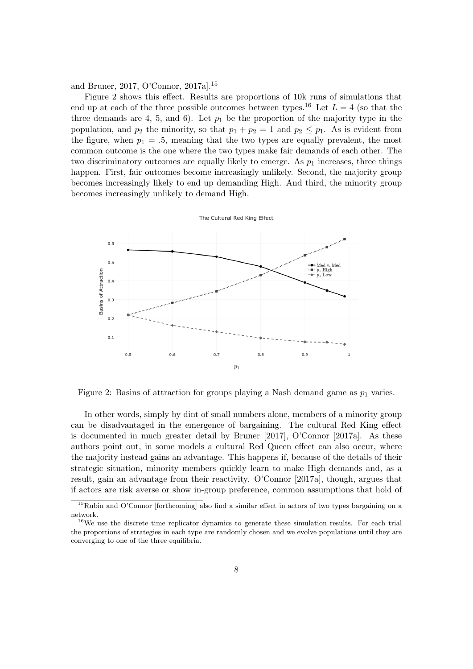and Bruner, 2017, O'Connor, 2017a].<sup>15</sup>

Figure 2 shows this effect. Results are proportions of 10k runs of simulations that end up at each of the three possible outcomes between types.<sup>16</sup> Let  $L = 4$  (so that the three demands are 4, 5, and 6). Let  $p_1$  be the proportion of the majority type in the population, and  $p_2$  the minority, so that  $p_1 + p_2 = 1$  and  $p_2 \leq p_1$ . As is evident from the figure, when  $p_1 = .5$ , meaning that the two types are equally prevalent, the most common outcome is the one where the two types make fair demands of each other. The two discriminatory outcomes are equally likely to emerge. As  $p_1$  increases, three things happen. First, fair outcomes become increasingly unlikely. Second, the majority group becomes increasingly likely to end up demanding High. And third, the minority group becomes increasingly unlikely to demand High.



Figure 2: Basins of attraction for groups playing a Nash demand game as  $p_1$  varies.

In other words, simply by dint of small numbers alone, members of a minority group can be disadvantaged in the emergence of bargaining. The cultural Red King effect is documented in much greater detail by Bruner [2017], O'Connor [2017a]. As these authors point out, in some models a cultural Red Queen effect can also occur, where the majority instead gains an advantage. This happens if, because of the details of their strategic situation, minority members quickly learn to make High demands and, as a result, gain an advantage from their reactivity. O'Connor [2017a], though, argues that if actors are risk averse or show in-group preference, common assumptions that hold of

<sup>&</sup>lt;sup>15</sup>Rubin and O'Connor [forthcoming] also find a similar effect in actors of two types bargaining on a network.

<sup>&</sup>lt;sup>16</sup>We use the discrete time replicator dynamics to generate these simulation results. For each trial the proportions of strategies in each type are randomly chosen and we evolve populations until they are converging to one of the three equilibria.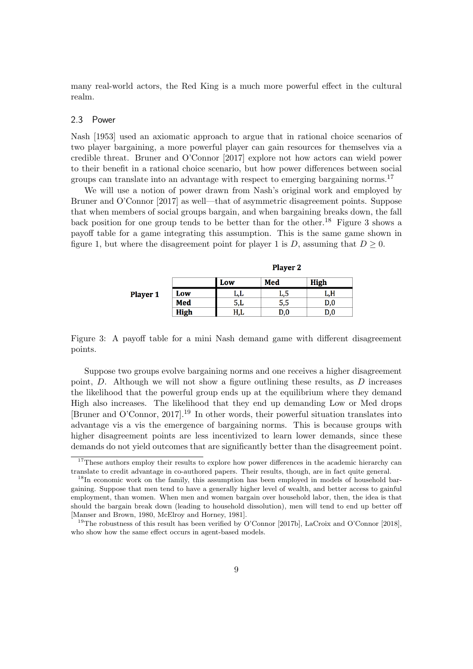many real-world actors, the Red King is a much more powerful effect in the cultural realm.

#### 2.3 Power

Nash [1953] used an axiomatic approach to argue that in rational choice scenarios of two player bargaining, a more powerful player can gain resources for themselves via a credible threat. Bruner and O'Connor [2017] explore not how actors can wield power to their benefit in a rational choice scenario, but how power differences between social groups can translate into an advantage with respect to emerging bargaining norms.<sup>17</sup>

We will use a notion of power drawn from Nash's original work and employed by Bruner and O'Connor [2017] as well—that of asymmetric disagreement points. Suppose that when members of social groups bargain, and when bargaining breaks down, the fall back position for one group tends to be better than for the other.<sup>18</sup> Figure 3 shows a payoff table for a game integrating this assumption. This is the same game shown in figure 1, but where the disagreement point for player 1 is D, assuming that  $D \geq 0$ .

|                 |             | -----  |     |             |
|-----------------|-------------|--------|-----|-------------|
|                 |             | Low    | Med | <b>High</b> |
| <b>Player 1</b> | Low         | تلزيلا | L,5 | L.H         |
|                 | Med         | э,L    | 5,5 | D,0         |
|                 | <b>High</b> | H,L    |     | D,0         |

Player<sub>2</sub>

Figure 3: A payoff table for a mini Nash demand game with different disagreement points.

Suppose two groups evolve bargaining norms and one receives a higher disagreement point,  $D$ . Although we will not show a figure outlining these results, as  $D$  increases the likelihood that the powerful group ends up at the equilibrium where they demand High also increases. The likelihood that they end up demanding Low or Med drops [Bruner and O'Connor, 2017].<sup>19</sup> In other words, their powerful situation translates into advantage vis a vis the emergence of bargaining norms. This is because groups with higher disagreement points are less incentivized to learn lower demands, since these demands do not yield outcomes that are significantly better than the disagreement point.

<sup>&</sup>lt;sup>17</sup>These authors employ their results to explore how power differences in the academic hierarchy can translate to credit advantage in co-authored papers. Their results, though, are in fact quite general.

<sup>&</sup>lt;sup>18</sup>In economic work on the family, this assumption has been employed in models of household bargaining. Suppose that men tend to have a generally higher level of wealth, and better access to gainful employment, than women. When men and women bargain over household labor, then, the idea is that should the bargain break down (leading to household dissolution), men will tend to end up better off [Manser and Brown, 1980, McElroy and Horney, 1981].

<sup>&</sup>lt;sup>19</sup>The robustness of this result has been verified by O'Connor [2017b], LaCroix and O'Connor [2018], who show how the same effect occurs in agent-based models.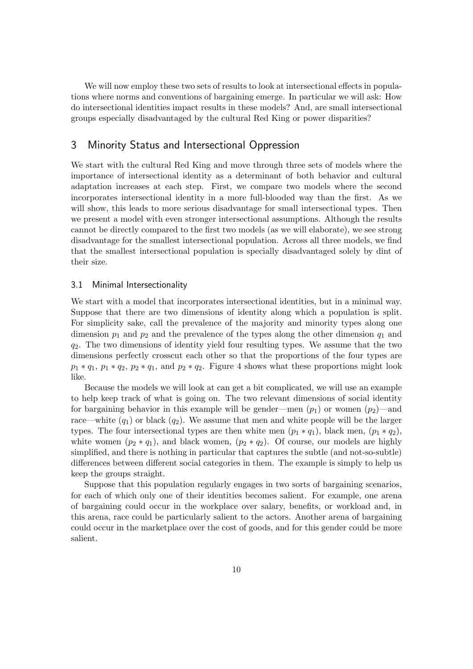We will now employ these two sets of results to look at intersectional effects in populations where norms and conventions of bargaining emerge. In particular we will ask: How do intersectional identities impact results in these models? And, are small intersectional groups especially disadvantaged by the cultural Red King or power disparities?

## 3 Minority Status and Intersectional Oppression

We start with the cultural Red King and move through three sets of models where the importance of intersectional identity as a determinant of both behavior and cultural adaptation increases at each step. First, we compare two models where the second incorporates intersectional identity in a more full-blooded way than the first. As we will show, this leads to more serious disadvantage for small intersectional types. Then we present a model with even stronger intersectional assumptions. Although the results cannot be directly compared to the first two models (as we will elaborate), we see strong disadvantage for the smallest intersectional population. Across all three models, we find that the smallest intersectional population is specially disadvantaged solely by dint of their size.

#### 3.1 Minimal Intersectionality

We start with a model that incorporates intersectional identities, but in a minimal way. Suppose that there are two dimensions of identity along which a population is split. For simplicity sake, call the prevalence of the majority and minority types along one dimension  $p_1$  and  $p_2$  and the prevalence of the types along the other dimension  $q_1$  and  $q_2$ . The two dimensions of identity yield four resulting types. We assume that the two dimensions perfectly crosscut each other so that the proportions of the four types are  $p_1 * q_1$ ,  $p_1 * q_2$ ,  $p_2 * q_1$ , and  $p_2 * q_2$ . Figure 4 shows what these proportions might look like.

Because the models we will look at can get a bit complicated, we will use an example to help keep track of what is going on. The two relevant dimensions of social identity for bargaining behavior in this example will be gender—men  $(p_1)$  or women  $(p_2)$ —and race—white  $(q_1)$  or black  $(q_2)$ . We assume that men and white people will be the larger types. The four intersectional types are then white men  $(p_1 * q_1)$ , black men,  $(p_1 * q_2)$ , white women  $(p_2 * q_1)$ , and black women,  $(p_2 * q_2)$ . Of course, our models are highly simplified, and there is nothing in particular that captures the subtle (and not-so-subtle) differences between different social categories in them. The example is simply to help us keep the groups straight.

Suppose that this population regularly engages in two sorts of bargaining scenarios, for each of which only one of their identities becomes salient. For example, one arena of bargaining could occur in the workplace over salary, benefits, or workload and, in this arena, race could be particularly salient to the actors. Another arena of bargaining could occur in the marketplace over the cost of goods, and for this gender could be more salient.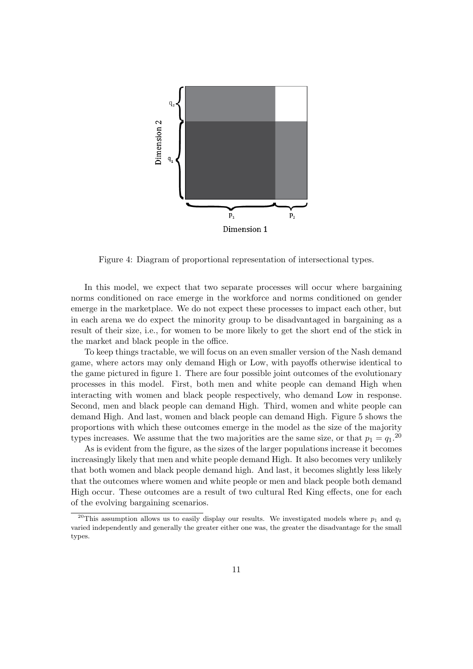

Figure 4: Diagram of proportional representation of intersectional types.

In this model, we expect that two separate processes will occur where bargaining norms conditioned on race emerge in the workforce and norms conditioned on gender emerge in the marketplace. We do not expect these processes to impact each other, but in each arena we do expect the minority group to be disadvantaged in bargaining as a result of their size, i.e., for women to be more likely to get the short end of the stick in the market and black people in the office.

To keep things tractable, we will focus on an even smaller version of the Nash demand game, where actors may only demand High or Low, with payoffs otherwise identical to the game pictured in figure 1. There are four possible joint outcomes of the evolutionary processes in this model. First, both men and white people can demand High when interacting with women and black people respectively, who demand Low in response. Second, men and black people can demand High. Third, women and white people can demand High. And last, women and black people can demand High. Figure 5 shows the proportions with which these outcomes emerge in the model as the size of the majority types increases. We assume that the two majorities are the same size, or that  $p_1 = q_1$ .<sup>20</sup>

As is evident from the figure, as the sizes of the larger populations increase it becomes increasingly likely that men and white people demand High. It also becomes very unlikely that both women and black people demand high. And last, it becomes slightly less likely that the outcomes where women and white people or men and black people both demand High occur. These outcomes are a result of two cultural Red King effects, one for each of the evolving bargaining scenarios.

<sup>&</sup>lt;sup>20</sup>This assumption allows us to easily display our results. We investigated models where  $p_1$  and  $q_1$ varied independently and generally the greater either one was, the greater the disadvantage for the small types.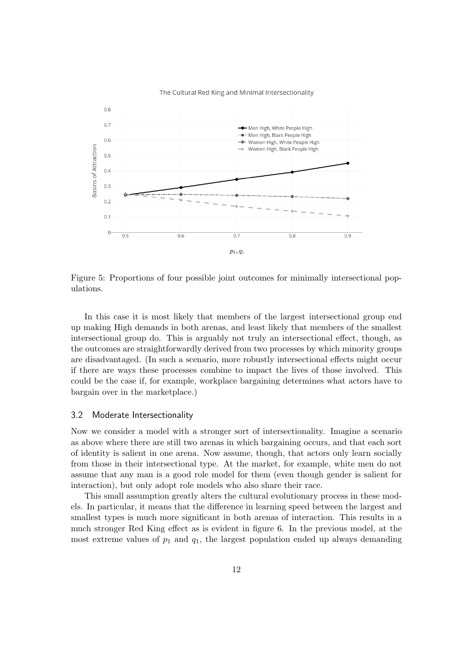

The Cultural Red King and Minimal Intersectionality

Figure 5: Proportions of four possible joint outcomes for minimally intersectional populations.

In this case it is most likely that members of the largest intersectional group end up making High demands in both arenas, and least likely that members of the smallest intersectional group do. This is arguably not truly an intersectional effect, though, as the outcomes are straightforwardly derived from two processes by which minority groups are disadvantaged. (In such a scenario, more robustly intersectional effects might occur if there are ways these processes combine to impact the lives of those involved. This could be the case if, for example, workplace bargaining determines what actors have to bargain over in the marketplace.)

#### 3.2 Moderate Intersectionality

Now we consider a model with a stronger sort of intersectionality. Imagine a scenario as above where there are still two arenas in which bargaining occurs, and that each sort of identity is salient in one arena. Now assume, though, that actors only learn socially from those in their intersectional type. At the market, for example, white men do not assume that any man is a good role model for them (even though gender is salient for interaction), but only adopt role models who also share their race.

This small assumption greatly alters the cultural evolutionary process in these models. In particular, it means that the difference in learning speed between the largest and smallest types is much more significant in both arenas of interaction. This results in a much stronger Red King effect as is evident in figure 6. In the previous model, at the most extreme values of  $p_1$  and  $q_1$ , the largest population ended up always demanding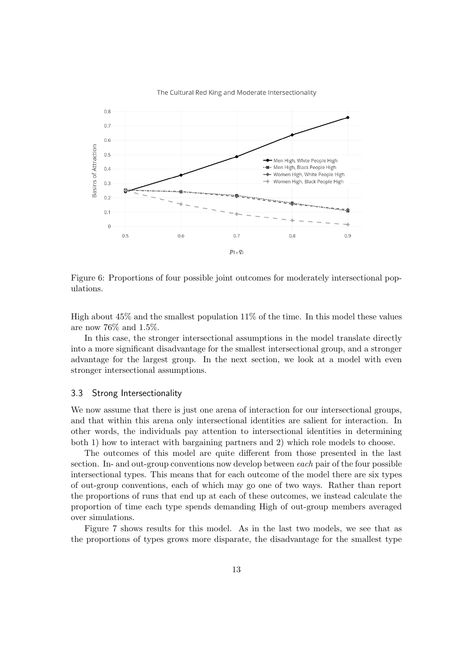

The Cultural Red King and Moderate Intersectionality

Figure 6: Proportions of four possible joint outcomes for moderately intersectional populations.

High about 45% and the smallest population 11% of the time. In this model these values are now 76% and 1.5%.

In this case, the stronger intersectional assumptions in the model translate directly into a more significant disadvantage for the smallest intersectional group, and a stronger advantage for the largest group. In the next section, we look at a model with even stronger intersectional assumptions.

#### 3.3 Strong Intersectionality

We now assume that there is just one arena of interaction for our intersectional groups, and that within this arena only intersectional identities are salient for interaction. In other words, the individuals pay attention to intersectional identities in determining both 1) how to interact with bargaining partners and 2) which role models to choose.

The outcomes of this model are quite different from those presented in the last section. In- and out-group conventions now develop between each pair of the four possible intersectional types. This means that for each outcome of the model there are six types of out-group conventions, each of which may go one of two ways. Rather than report the proportions of runs that end up at each of these outcomes, we instead calculate the proportion of time each type spends demanding High of out-group members averaged over simulations.

Figure 7 shows results for this model. As in the last two models, we see that as the proportions of types grows more disparate, the disadvantage for the smallest type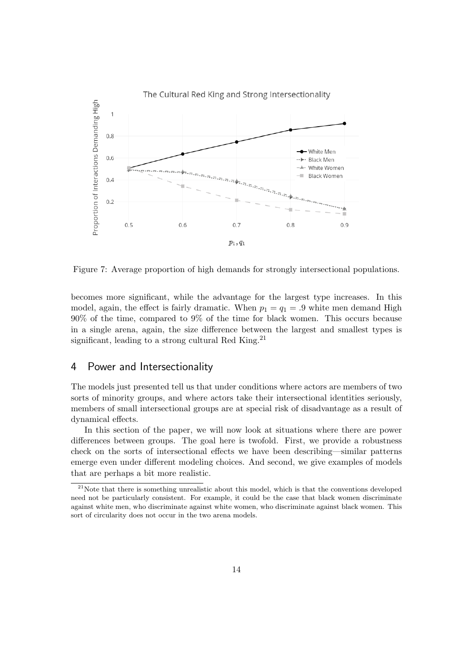

Figure 7: Average proportion of high demands for strongly intersectional populations.

becomes more significant, while the advantage for the largest type increases. In this model, again, the effect is fairly dramatic. When  $p_1 = q_1 = .9$  white men demand High 90% of the time, compared to 9% of the time for black women. This occurs because in a single arena, again, the size difference between the largest and smallest types is significant, leading to a strong cultural Red King. $^{21}$ 

# 4 Power and Intersectionality

The models just presented tell us that under conditions where actors are members of two sorts of minority groups, and where actors take their intersectional identities seriously, members of small intersectional groups are at special risk of disadvantage as a result of dynamical effects.

In this section of the paper, we will now look at situations where there are power differences between groups. The goal here is twofold. First, we provide a robustness check on the sorts of intersectional effects we have been describing—similar patterns emerge even under different modeling choices. And second, we give examples of models that are perhaps a bit more realistic.

 $21$ Note that there is something unrealistic about this model, which is that the conventions developed need not be particularly consistent. For example, it could be the case that black women discriminate against white men, who discriminate against white women, who discriminate against black women. This sort of circularity does not occur in the two arena models.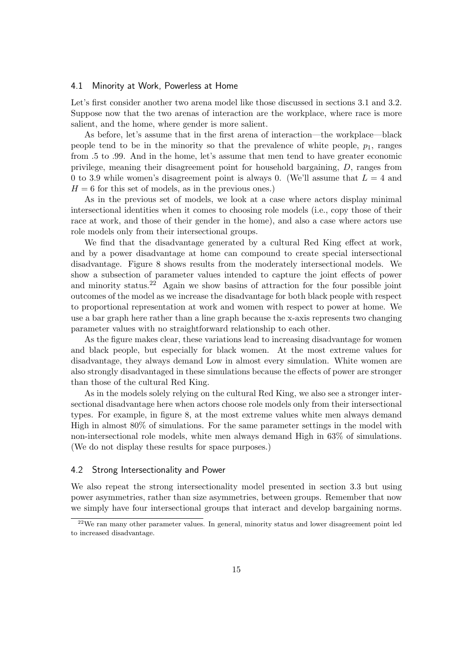#### 4.1 Minority at Work, Powerless at Home

Let's first consider another two arena model like those discussed in sections 3.1 and 3.2. Suppose now that the two arenas of interaction are the workplace, where race is more salient, and the home, where gender is more salient.

As before, let's assume that in the first arena of interaction—the workplace—black people tend to be in the minority so that the prevalence of white people,  $p_1$ , ranges from .5 to .99. And in the home, let's assume that men tend to have greater economic privilege, meaning their disagreement point for household bargaining, D, ranges from 0 to 3.9 while women's disagreement point is always 0. (We'll assume that  $L = 4$  and  $H = 6$  for this set of models, as in the previous ones.)

As in the previous set of models, we look at a case where actors display minimal intersectional identities when it comes to choosing role models (i.e., copy those of their race at work, and those of their gender in the home), and also a case where actors use role models only from their intersectional groups.

We find that the disadvantage generated by a cultural Red King effect at work, and by a power disadvantage at home can compound to create special intersectional disadvantage. Figure 8 shows results from the moderately intersectional models. We show a subsection of parameter values intended to capture the joint effects of power and minority status.<sup>22</sup> Again we show basins of attraction for the four possible joint outcomes of the model as we increase the disadvantage for both black people with respect to proportional representation at work and women with respect to power at home. We use a bar graph here rather than a line graph because the x-axis represents two changing parameter values with no straightforward relationship to each other.

As the figure makes clear, these variations lead to increasing disadvantage for women and black people, but especially for black women. At the most extreme values for disadvantage, they always demand Low in almost every simulation. White women are also strongly disadvantaged in these simulations because the effects of power are stronger than those of the cultural Red King.

As in the models solely relying on the cultural Red King, we also see a stronger intersectional disadvantage here when actors choose role models only from their intersectional types. For example, in figure 8, at the most extreme values white men always demand High in almost 80% of simulations. For the same parameter settings in the model with non-intersectional role models, white men always demand High in 63% of simulations. (We do not display these results for space purposes.)

#### 4.2 Strong Intersectionality and Power

We also repeat the strong intersectionality model presented in section 3.3 but using power asymmetries, rather than size asymmetries, between groups. Remember that now we simply have four intersectional groups that interact and develop bargaining norms.

<sup>&</sup>lt;sup>22</sup>We ran many other parameter values. In general, minority status and lower disagreement point led to increased disadvantage.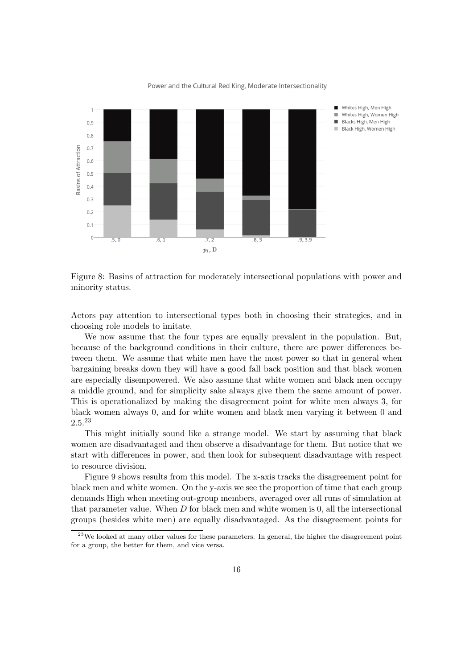

Power and the Cultural Red King, Moderate Intersectionality

Figure 8: Basins of attraction for moderately intersectional populations with power and minority status.

Actors pay attention to intersectional types both in choosing their strategies, and in choosing role models to imitate.

We now assume that the four types are equally prevalent in the population. But, because of the background conditions in their culture, there are power differences between them. We assume that white men have the most power so that in general when bargaining breaks down they will have a good fall back position and that black women are especially disempowered. We also assume that white women and black men occupy a middle ground, and for simplicity sake always give them the same amount of power. This is operationalized by making the disagreement point for white men always 3, for black women always 0, and for white women and black men varying it between 0 and 2.5.<sup>23</sup>

This might initially sound like a strange model. We start by assuming that black women are disadvantaged and then observe a disadvantage for them. But notice that we start with differences in power, and then look for subsequent disadvantage with respect to resource division.

Figure 9 shows results from this model. The x-axis tracks the disagreement point for black men and white women. On the y-axis we see the proportion of time that each group demands High when meeting out-group members, averaged over all runs of simulation at that parameter value. When  $D$  for black men and white women is 0, all the intersectional groups (besides white men) are equally disadvantaged. As the disagreement points for

 $23$ We looked at many other values for these parameters. In general, the higher the disagreement point for a group, the better for them, and vice versa.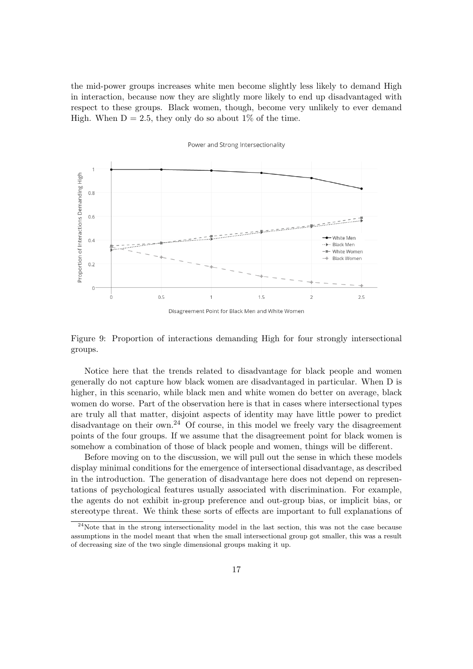the mid-power groups increases white men become slightly less likely to demand High in interaction, because now they are slightly more likely to end up disadvantaged with respect to these groups. Black women, though, become very unlikely to ever demand High. When  $D = 2.5$ , they only do so about 1\% of the time.



Power and Strong Intersectionality

Disagreement Point for Black Men and White Women

Figure 9: Proportion of interactions demanding High for four strongly intersectional groups.

Notice here that the trends related to disadvantage for black people and women generally do not capture how black women are disadvantaged in particular. When D is higher, in this scenario, while black men and white women do better on average, black women do worse. Part of the observation here is that in cases where intersectional types are truly all that matter, disjoint aspects of identity may have little power to predict disadvantage on their own.<sup>24</sup> Of course, in this model we freely vary the disagreement points of the four groups. If we assume that the disagreement point for black women is somehow a combination of those of black people and women, things will be different.

Before moving on to the discussion, we will pull out the sense in which these models display minimal conditions for the emergence of intersectional disadvantage, as described in the introduction. The generation of disadvantage here does not depend on representations of psychological features usually associated with discrimination. For example, the agents do not exhibit in-group preference and out-group bias, or implicit bias, or stereotype threat. We think these sorts of effects are important to full explanations of

 $24$ Note that in the strong intersectionality model in the last section, this was not the case because assumptions in the model meant that when the small intersectional group got smaller, this was a result of decreasing size of the two single dimensional groups making it up.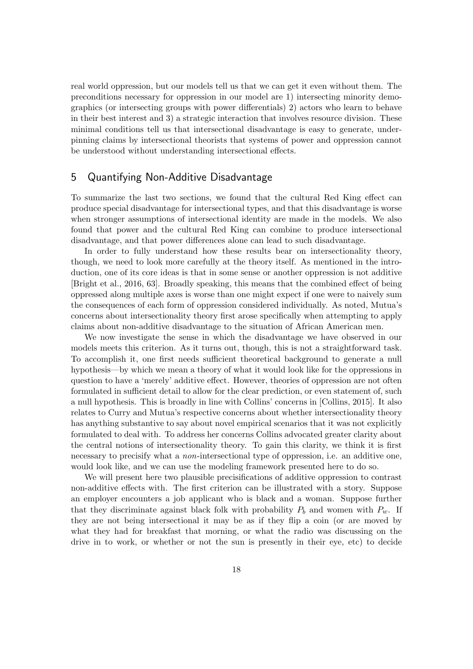real world oppression, but our models tell us that we can get it even without them. The preconditions necessary for oppression in our model are 1) intersecting minority demographics (or intersecting groups with power differentials) 2) actors who learn to behave in their best interest and 3) a strategic interaction that involves resource division. These minimal conditions tell us that intersectional disadvantage is easy to generate, underpinning claims by intersectional theorists that systems of power and oppression cannot be understood without understanding intersectional effects.

# 5 Quantifying Non-Additive Disadvantage

To summarize the last two sections, we found that the cultural Red King effect can produce special disadvantage for intersectional types, and that this disadvantage is worse when stronger assumptions of intersectional identity are made in the models. We also found that power and the cultural Red King can combine to produce intersectional disadvantage, and that power differences alone can lead to such disadvantage.

In order to fully understand how these results bear on intersectionality theory, though, we need to look more carefully at the theory itself. As mentioned in the introduction, one of its core ideas is that in some sense or another oppression is not additive [Bright et al., 2016, 63]. Broadly speaking, this means that the combined effect of being oppressed along multiple axes is worse than one might expect if one were to naively sum the consequences of each form of oppression considered individually. As noted, Mutua's concerns about intersectionality theory first arose specifically when attempting to apply claims about non-additive disadvantage to the situation of African American men.

We now investigate the sense in which the disadvantage we have observed in our models meets this criterion. As it turns out, though, this is not a straightforward task. To accomplish it, one first needs sufficient theoretical background to generate a null hypothesis—by which we mean a theory of what it would look like for the oppressions in question to have a 'merely' additive effect. However, theories of oppression are not often formulated in sufficient detail to allow for the clear prediction, or even statement of, such a null hypothesis. This is broadly in line with Collins' concerns in [Collins, 2015]. It also relates to Curry and Mutua's respective concerns about whether intersectionality theory has anything substantive to say about novel empirical scenarios that it was not explicitly formulated to deal with. To address her concerns Collins advocated greater clarity about the central notions of intersectionality theory. To gain this clarity, we think it is first necessary to precisify what a *non*-intersectional type of oppression, i.e. an additive one, would look like, and we can use the modeling framework presented here to do so.

We will present here two plausible precisifications of additive oppression to contrast non-additive effects with. The first criterion can be illustrated with a story. Suppose an employer encounters a job applicant who is black and a woman. Suppose further that they discriminate against black folk with probability  $P_b$  and women with  $P_w$ . If they are not being intersectional it may be as if they flip a coin (or are moved by what they had for breakfast that morning, or what the radio was discussing on the drive in to work, or whether or not the sun is presently in their eye, etc) to decide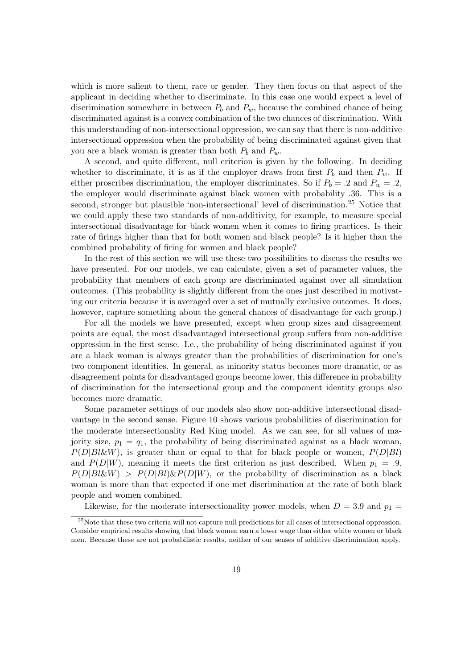which is more salient to them, race or gender. They then focus on that aspect of the applicant in deciding whether to discriminate. In this case one would expect a level of discrimination somewhere in between  $P_b$  and  $P_w$ , because the combined chance of being discriminated against is a convex combination of the two chances of discrimination. With this understanding of non-intersectional oppression, we can say that there is non-additive intersectional oppression when the probability of being discriminated against given that you are a black woman is greater than both  $P_b$  and  $P_w$ .

A second, and quite different, null criterion is given by the following. In deciding whether to discriminate, it is as if the employer draws from first  $P_b$  and then  $P_w$ . If either proscribes discrimination, the employer discriminates. So if  $P_b = .2$  and  $P_w = .2$ , the employer would discriminate against black women with probability .36. This is a second, stronger but plausible 'non-intersectional' level of discrimination.<sup>25</sup> Notice that we could apply these two standards of non-additivity, for example, to measure special intersectional disadvantage for black women when it comes to firing practices. Is their rate of firings higher than that for both women and black people? Is it higher than the combined probability of firing for women and black people?

In the rest of this section we will use these two possibilities to discuss the results we have presented. For our models, we can calculate, given a set of parameter values, the probability that members of each group are discriminated against over all simulation outcomes. (This probability is slightly different from the ones just described in motivating our criteria because it is averaged over a set of mutually exclusive outcomes. It does, however, capture something about the general chances of disadvantage for each group.)

For all the models we have presented, except when group sizes and disagreement points are equal, the most disadvantaged intersectional group suffers from non-additive oppression in the first sense. I.e., the probability of being discriminated against if you are a black woman is always greater than the probabilities of discrimination for one's two component identities. In general, as minority status becomes more dramatic, or as disagreement points for disadvantaged groups become lower, this difference in probability of discrimination for the intersectional group and the component identity groups also becomes more dramatic.

Some parameter settings of our models also show non-additive intersectional disadvantage in the second sense. Figure 10 shows various probabilities of discrimination for the moderate intersectionality Red King model. As we can see, for all values of majority size,  $p_1 = q_1$ , the probability of being discriminated against as a black woman,  $P(D|Bl\&W)$ , is greater than or equal to that for black people or women,  $P(D|Bl)$ and  $P(D|W)$ , meaning it meets the first criterion as just described. When  $p_1 = .9$ ,  $P(D|Bl\&W) > P(D|Bl)\&P(D|W)$ , or the probability of discrimination as a black woman is more than that expected if one met discrimination at the rate of both black people and women combined.

Likewise, for the moderate intersectionality power models, when  $D = 3.9$  and  $p_1 =$ 

<sup>&</sup>lt;sup>25</sup>Note that these two criteria will not capture null predictions for all cases of intersectional oppression. Consider empirical results showing that black women earn a lower wage than either white women or black men. Because these are not probabilistic results, neither of our senses of additive discrimination apply.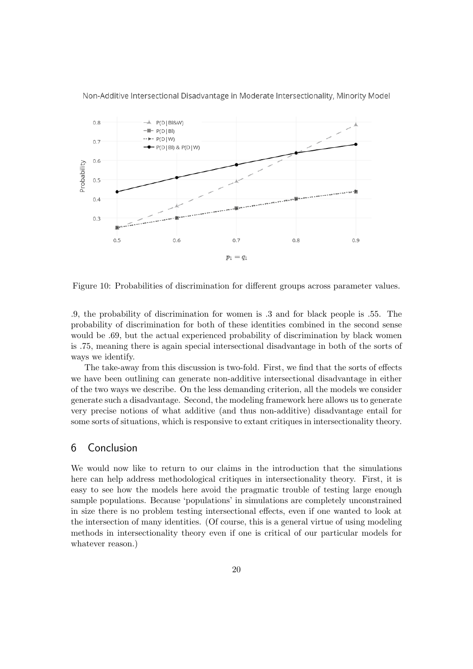

Non-Additive Intersectional Disadvantage in Moderate Intersectionality, Minority Model

Figure 10: Probabilities of discrimination for different groups across parameter values.

.9, the probability of discrimination for women is .3 and for black people is .55. The probability of discrimination for both of these identities combined in the second sense would be .69, but the actual experienced probability of discrimination by black women is .75, meaning there is again special intersectional disadvantage in both of the sorts of ways we identify.

The take-away from this discussion is two-fold. First, we find that the sorts of effects we have been outlining can generate non-additive intersectional disadvantage in either of the two ways we describe. On the less demanding criterion, all the models we consider generate such a disadvantage. Second, the modeling framework here allows us to generate very precise notions of what additive (and thus non-additive) disadvantage entail for some sorts of situations, which is responsive to extant critiques in intersectionality theory.

# 6 Conclusion

We would now like to return to our claims in the introduction that the simulations here can help address methodological critiques in intersectionality theory. First, it is easy to see how the models here avoid the pragmatic trouble of testing large enough sample populations. Because 'populations' in simulations are completely unconstrained in size there is no problem testing intersectional effects, even if one wanted to look at the intersection of many identities. (Of course, this is a general virtue of using modeling methods in intersectionality theory even if one is critical of our particular models for whatever reason.)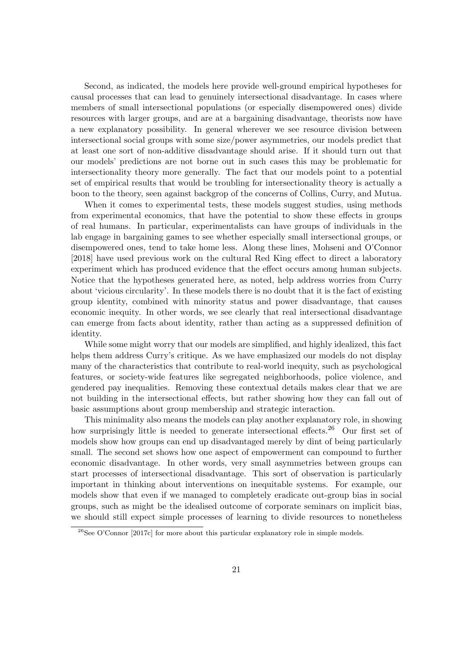Second, as indicated, the models here provide well-ground empirical hypotheses for causal processes that can lead to genuinely intersectional disadvantage. In cases where members of small intersectional populations (or especially disempowered ones) divide resources with larger groups, and are at a bargaining disadvantage, theorists now have a new explanatory possibility. In general wherever we see resource division between intersectional social groups with some size/power asymmetries, our models predict that at least one sort of non-additive disadvantage should arise. If it should turn out that our models' predictions are not borne out in such cases this may be problematic for intersectionality theory more generally. The fact that our models point to a potential set of empirical results that would be troubling for intersectionality theory is actually a boon to the theory, seen against backgrop of the concerns of Collins, Curry, and Mutua.

When it comes to experimental tests, these models suggest studies, using methods from experimental economics, that have the potential to show these effects in groups of real humans. In particular, experimentalists can have groups of individuals in the lab engage in bargaining games to see whether especially small intersectional groups, or disempowered ones, tend to take home less. Along these lines, Mohseni and O'Connor [2018] have used previous work on the cultural Red King effect to direct a laboratory experiment which has produced evidence that the effect occurs among human subjects. Notice that the hypotheses generated here, as noted, help address worries from Curry about 'vicious circularity'. In these models there is no doubt that it is the fact of existing group identity, combined with minority status and power disadvantage, that causes economic inequity. In other words, we see clearly that real intersectional disadvantage can emerge from facts about identity, rather than acting as a suppressed definition of identity.

While some might worry that our models are simplified, and highly idealized, this fact helps them address Curry's critique. As we have emphasized our models do not display many of the characteristics that contribute to real-world inequity, such as psychological features, or society-wide features like segregated neighborhoods, police violence, and gendered pay inequalities. Removing these contextual details makes clear that we are not building in the intersectional effects, but rather showing how they can fall out of basic assumptions about group membership and strategic interaction.

This minimality also means the models can play another explanatory role, in showing how surprisingly little is needed to generate intersectional effects.<sup>26</sup> Our first set of models show how groups can end up disadvantaged merely by dint of being particularly small. The second set shows how one aspect of empowerment can compound to further economic disadvantage. In other words, very small asymmetries between groups can start processes of intersectional disadvantage. This sort of observation is particularly important in thinking about interventions on inequitable systems. For example, our models show that even if we managed to completely eradicate out-group bias in social groups, such as might be the idealised outcome of corporate seminars on implicit bias, we should still expect simple processes of learning to divide resources to nonetheless

 $^{26}$ See O'Connor [2017c] for more about this particular explanatory role in simple models.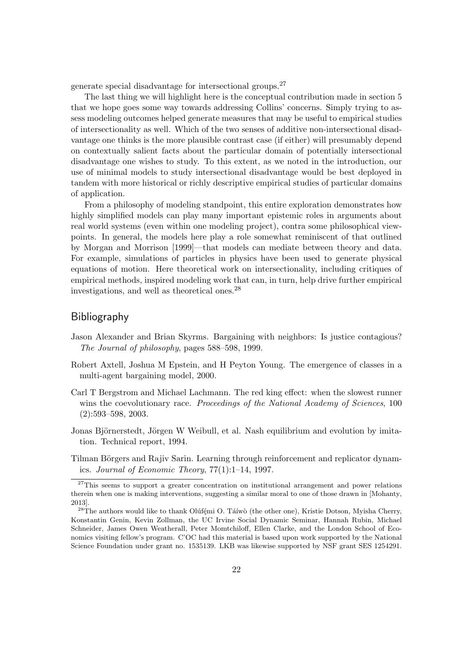generate special disadvantage for intersectional groups.<sup>27</sup>

The last thing we will highlight here is the conceptual contribution made in section 5 that we hope goes some way towards addressing Collins' concerns. Simply trying to assess modeling outcomes helped generate measures that may be useful to empirical studies of intersectionality as well. Which of the two senses of additive non-intersectional disadvantage one thinks is the more plausible contrast case (if either) will presumably depend on contextually salient facts about the particular domain of potentially intersectional disadvantage one wishes to study. To this extent, as we noted in the introduction, our use of minimal models to study intersectional disadvantage would be best deployed in tandem with more historical or richly descriptive empirical studies of particular domains of application.

From a philosophy of modeling standpoint, this entire exploration demonstrates how highly simplified models can play many important epistemic roles in arguments about real world systems (even within one modeling project), contra some philosophical viewpoints. In general, the models here play a role somewhat reminiscent of that outlined by Morgan and Morrison [1999]—that models can mediate between theory and data. For example, simulations of particles in physics have been used to generate physical equations of motion. Here theoretical work on intersectionality, including critiques of empirical methods, inspired modeling work that can, in turn, help drive further empirical investigations, and well as theoretical ones.<sup>28</sup>

# Bibliography

- Jason Alexander and Brian Skyrms. Bargaining with neighbors: Is justice contagious? The Journal of philosophy, pages 588–598, 1999.
- Robert Axtell, Joshua M Epstein, and H Peyton Young. The emergence of classes in a multi-agent bargaining model, 2000.
- Carl T Bergstrom and Michael Lachmann. The red king effect: when the slowest runner wins the coevolutionary race. Proceedings of the National Academy of Sciences, 100 (2):593–598, 2003.
- Jonas Björnerstedt, Jörgen W Weibull, et al. Nash equilibrium and evolution by imitation. Technical report, 1994.
- Tilman Börgers and Rajiv Sarin. Learning through reinforcement and replicator dynamics. Journal of Economic Theory,  $77(1):1-14$ , 1997.

<sup>&</sup>lt;sup>27</sup>This seems to support a greater concentration on institutional arrangement and power relations therein when one is making interventions, suggesting a similar moral to one of those drawn in [Mohanty, 2013].

<sup>&</sup>lt;sup>28</sup>The authors would like to thank Olúfémi O. Táíwò (the other one), Kristie Dotson, Myisha Cherry, Konstantin Genin, Kevin Zollman, the UC Irvine Social Dynamic Seminar, Hannah Rubin, Michael Schneider, James Owen Weatherall, Peter Momtchiloff, Ellen Clarke, and the London School of Economics visiting fellow's program. C'OC had this material is based upon work supported by the National Science Foundation under grant no. 1535139. LKB was likewise supported by NSF grant SES 1254291.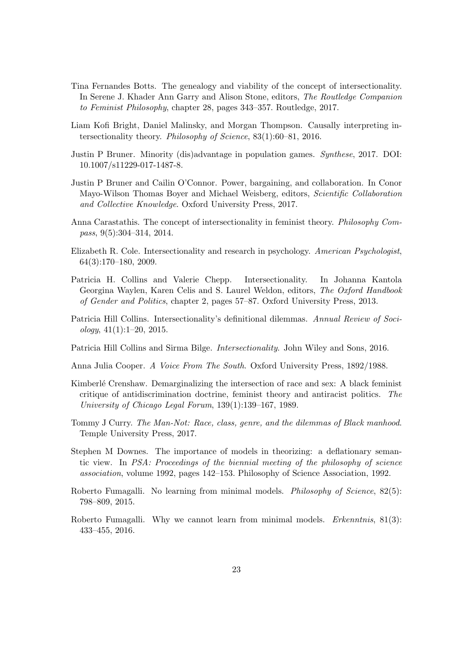- Tina Fernandes Botts. The genealogy and viability of the concept of intersectionality. In Serene J. Khader Ann Garry and Alison Stone, editors, The Routledge Companion to Feminist Philosophy, chapter 28, pages 343–357. Routledge, 2017.
- Liam Kofi Bright, Daniel Malinsky, and Morgan Thompson. Causally interpreting intersectionality theory. Philosophy of Science, 83(1):60–81, 2016.
- Justin P Bruner. Minority (dis)advantage in population games. Synthese, 2017. DOI: 10.1007/s11229-017-1487-8.
- Justin P Bruner and Cailin O'Connor. Power, bargaining, and collaboration. In Conor Mayo-Wilson Thomas Boyer and Michael Weisberg, editors, Scientific Collaboration and Collective Knowledge. Oxford University Press, 2017.
- Anna Carastathis. The concept of intersectionality in feminist theory. Philosophy Compass, 9(5):304–314, 2014.
- Elizabeth R. Cole. Intersectionality and research in psychology. American Psychologist, 64(3):170–180, 2009.
- Patricia H. Collins and Valerie Chepp. Intersectionality. In Johanna Kantola Georgina Waylen, Karen Celis and S. Laurel Weldon, editors, The Oxford Handbook of Gender and Politics, chapter 2, pages 57–87. Oxford University Press, 2013.
- Patricia Hill Collins. Intersectionality's definitional dilemmas. Annual Review of Soci- $\omega \log y$ , 41(1):1–20, 2015.
- Patricia Hill Collins and Sirma Bilge. Intersectionality. John Wiley and Sons, 2016.
- Anna Julia Cooper. A Voice From The South. Oxford University Press, 1892/1988.
- Kimberlé Crenshaw. Demarginalizing the intersection of race and sex: A black feminist critique of antidiscrimination doctrine, feminist theory and antiracist politics. The University of Chicago Legal Forum, 139(1):139–167, 1989.
- Tommy J Curry. The Man-Not: Race, class, genre, and the dilemmas of Black manhood. Temple University Press, 2017.
- Stephen M Downes. The importance of models in theorizing: a deflationary semantic view. In PSA: Proceedings of the biennial meeting of the philosophy of science association, volume 1992, pages 142–153. Philosophy of Science Association, 1992.
- Roberto Fumagalli. No learning from minimal models. *Philosophy of Science*, 82(5): 798–809, 2015.
- Roberto Fumagalli. Why we cannot learn from minimal models. Erkenntnis, 81(3): 433–455, 2016.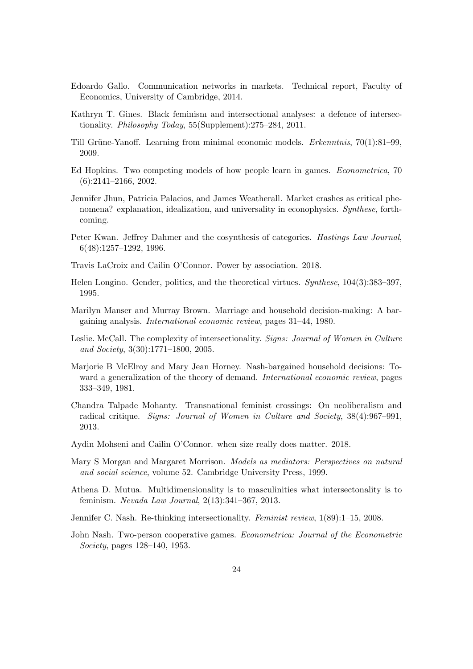- Edoardo Gallo. Communication networks in markets. Technical report, Faculty of Economics, University of Cambridge, 2014.
- Kathryn T. Gines. Black feminism and intersectional analyses: a defence of intersectionality. Philosophy Today, 55(Supplement):275–284, 2011.
- Till Grüne-Yanoff. Learning from minimal economic models. *Erkenntnis*,  $70(1):81-99$ , 2009.
- Ed Hopkins. Two competing models of how people learn in games. Econometrica, 70 (6):2141–2166, 2002.
- Jennifer Jhun, Patricia Palacios, and James Weatherall. Market crashes as critical phenomena? explanation, idealization, and universality in econophysics. Synthese, forthcoming.
- Peter Kwan. Jeffrey Dahmer and the cosynthesis of categories. Hastings Law Journal, 6(48):1257–1292, 1996.
- Travis LaCroix and Cailin O'Connor. Power by association. 2018.
- Helen Longino. Gender, politics, and the theoretical virtues. Synthese, 104(3):383–397, 1995.
- Marilyn Manser and Murray Brown. Marriage and household decision-making: A bargaining analysis. International economic review, pages 31–44, 1980.
- Leslie. McCall. The complexity of intersectionality. Signs: Journal of Women in Culture and Society, 3(30):1771–1800, 2005.
- Marjorie B McElroy and Mary Jean Horney. Nash-bargained household decisions: Toward a generalization of the theory of demand. International economic review, pages 333–349, 1981.
- Chandra Talpade Mohanty. Transnational feminist crossings: On neoliberalism and radical critique. Signs: Journal of Women in Culture and Society, 38(4):967–991, 2013.
- Aydin Mohseni and Cailin O'Connor. when size really does matter. 2018.
- Mary S Morgan and Margaret Morrison. Models as mediators: Perspectives on natural and social science, volume 52. Cambridge University Press, 1999.
- Athena D. Mutua. Multidimensionality is to masculinities what intersectonality is to feminism. Nevada Law Journal, 2(13):341–367, 2013.
- Jennifer C. Nash. Re-thinking intersectionality. Feminist review, 1(89):1–15, 2008.
- John Nash. Two-person cooperative games. Econometrica: Journal of the Econometric Society, pages 128–140, 1953.